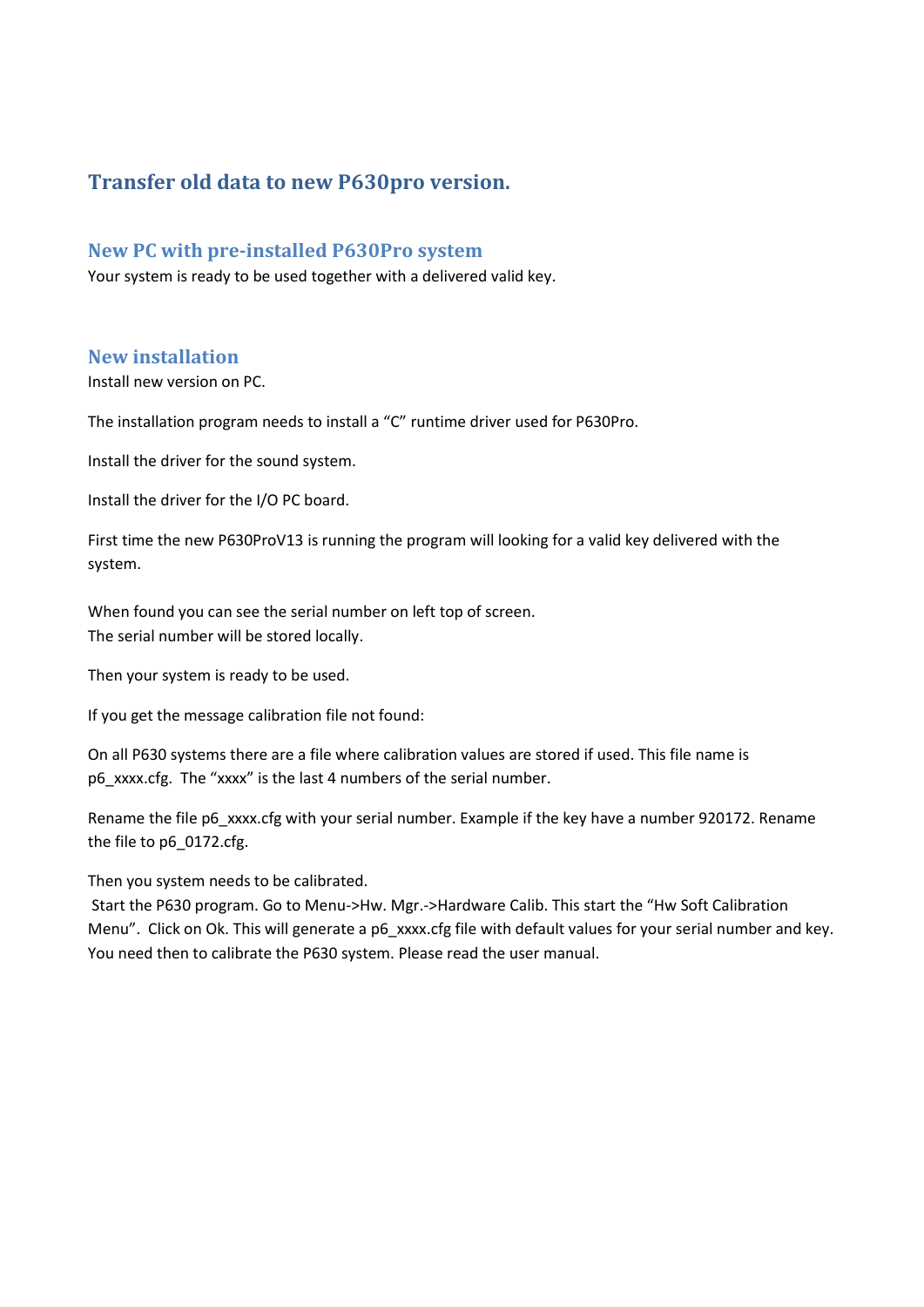# **Transfer old data to new P630pro version.**

#### **New PC with pre-installed P630Pro system**

Your system is ready to be used together with a delivered valid key.

### **New installation**

Install new version on PC.

The installation program needs to install a "C" runtime driver used for P630Pro.

Install the driver for the sound system.

Install the driver for the I/O PC board.

First time the new P630ProV13 is running the program will looking for a valid key delivered with the system.

When found you can see the serial number on left top of screen. The serial number will be stored locally.

Then your system is ready to be used.

If you get the message calibration file not found:

On all P630 systems there are a file where calibration values are stored if used. This file name is p6\_xxxx.cfg. The "xxxx" is the last 4 numbers of the serial number.

Rename the file p6\_xxxx.cfg with your serial number. Example if the key have a number 920172. Rename the file to p6\_0172.cfg.

Then you system needs to be calibrated.

Start the P630 program. Go to Menu->Hw. Mgr.->Hardware Calib. This start the "Hw Soft Calibration Menu". Click on Ok. This will generate a p6 xxxx.cfg file with default values for your serial number and key. You need then to calibrate the P630 system. Please read the user manual.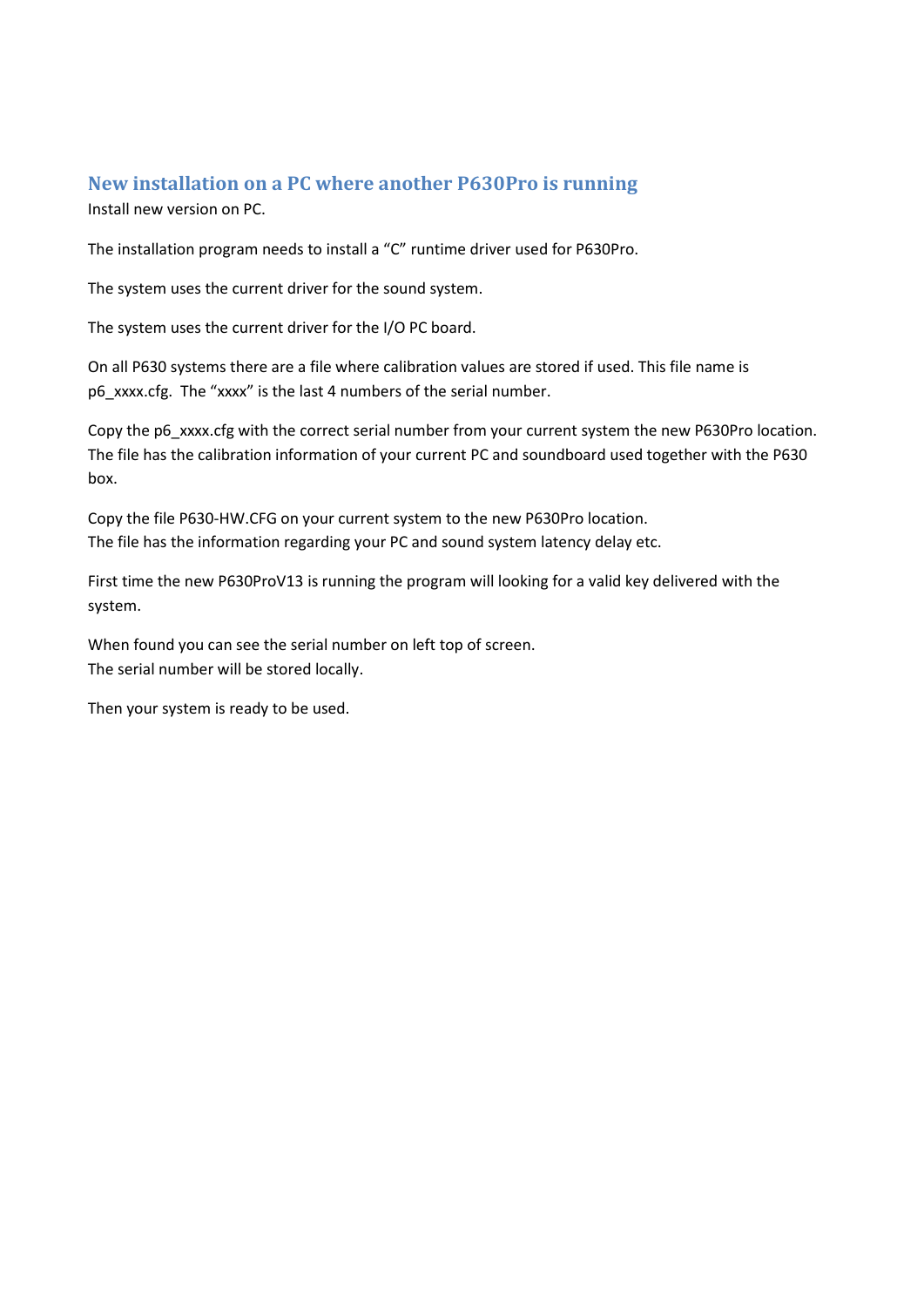## **New installation on a PC where another P630Pro is running**

Install new version on PC.

The installation program needs to install a "C" runtime driver used for P630Pro.

The system uses the current driver for the sound system.

The system uses the current driver for the I/O PC board.

On all P630 systems there are a file where calibration values are stored if used. This file name is p6\_xxxx.cfg. The "xxxx" is the last 4 numbers of the serial number.

Copy the p6 xxxx.cfg with the correct serial number from your current system the new P630Pro location. The file has the calibration information of your current PC and soundboard used together with the P630 box.

Copy the file P630-HW.CFG on your current system to the new P630Pro location. The file has the information regarding your PC and sound system latency delay etc.

First time the new P630ProV13 is running the program will looking for a valid key delivered with the system.

When found you can see the serial number on left top of screen. The serial number will be stored locally.

Then your system is ready to be used.